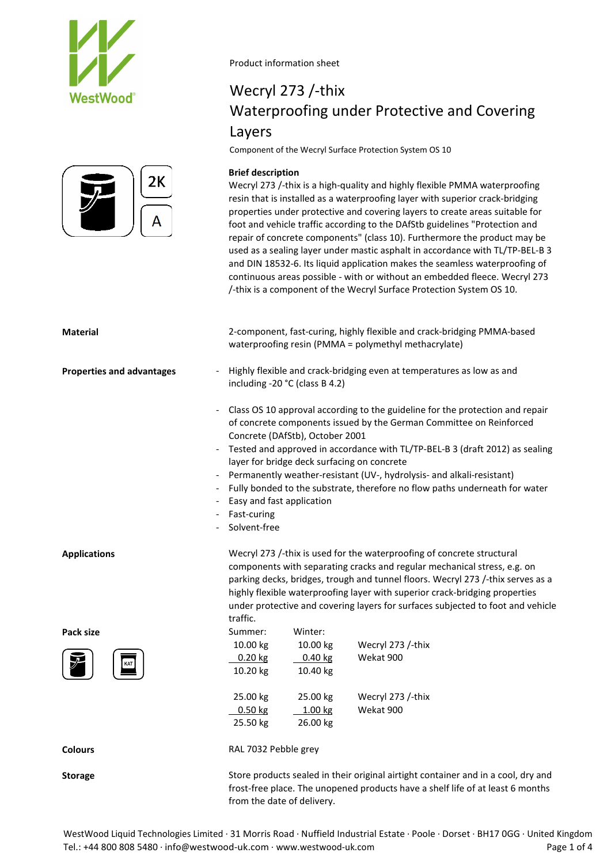



## Wecryl 273 /-thix Waterproofing under Protective and Covering Layers

Component of the Wecryl Surface Protection System OS 10

### **Brief description**

Wecryl 273 /-thix is a high-quality and highly flexible PMMA waterproofing resin that is installed as a waterproofing layer with superior crack-bridging properties under protective and covering layers to create areas suitable for foot and vehicle traffic according to the DAfStb guidelines "Protection and repair of concrete components" (class 10). Furthermore the product may be used as a sealing layer under mastic asphalt in accordance with TL/TP-BEL-B 3 and DIN 18532-6. Its liquid application makes the seamless waterproofing of continuous areas possible - with or without an embedded fleece. Wecryl 273 /-thix is a component of the Wecryl Surface Protection System OS 10.

| <b>Material</b>                  | 2-component, fast-curing, highly flexible and crack-bridging PMMA-based<br>waterproofing resin (PMMA = polymethyl methacrylate)                                                                                                                                                                                                                                                                                                                                                                                                                |  |  |  |  |  |  |
|----------------------------------|------------------------------------------------------------------------------------------------------------------------------------------------------------------------------------------------------------------------------------------------------------------------------------------------------------------------------------------------------------------------------------------------------------------------------------------------------------------------------------------------------------------------------------------------|--|--|--|--|--|--|
| <b>Properties and advantages</b> | Highly flexible and crack-bridging even at temperatures as low as and<br>including -20 °C (class B 4.2)                                                                                                                                                                                                                                                                                                                                                                                                                                        |  |  |  |  |  |  |
| $\overline{\phantom{a}}$         | Class OS 10 approval according to the guideline for the protection and repair<br>of concrete components issued by the German Committee on Reinforced<br>Concrete (DAfStb), October 2001<br>Tested and approved in accordance with TL/TP-BEL-B 3 (draft 2012) as sealing<br>layer for bridge deck surfacing on concrete<br>Permanently weather-resistant (UV-, hydrolysis- and alkali-resistant)<br>- Fully bonded to the substrate, therefore no flow paths underneath for water<br>- Easy and fast application<br>Fast-curing<br>Solvent-free |  |  |  |  |  |  |
| <b>Applications</b>              | Wecryl 273 /-thix is used for the waterproofing of concrete structural<br>components with separating cracks and regular mechanical stress, e.g. on<br>parking decks, bridges, trough and tunnel floors. Wecryl 273 /-thix serves as a<br>highly flexible waterproofing layer with superior crack-bridging properties<br>under protective and covering layers for surfaces subjected to foot and vehicle<br>traffic.                                                                                                                            |  |  |  |  |  |  |
| Pack size                        | Summer:<br>Winter:                                                                                                                                                                                                                                                                                                                                                                                                                                                                                                                             |  |  |  |  |  |  |
|                                  | 10.00 kg<br>10.00 kg<br>Wecryl 273 /-thix<br>$0.20$ kg<br>$0.40$ kg<br>Wekat 900<br>10.20 kg<br>10.40 kg                                                                                                                                                                                                                                                                                                                                                                                                                                       |  |  |  |  |  |  |
|                                  | 25.00 kg<br>25.00 kg<br>Wecryl 273 /-thix<br>$0.50$ kg<br>1.00 kg<br>Wekat 900<br>25.50 kg<br>26.00 kg                                                                                                                                                                                                                                                                                                                                                                                                                                         |  |  |  |  |  |  |
| <b>Colours</b>                   | RAL 7032 Pebble grey                                                                                                                                                                                                                                                                                                                                                                                                                                                                                                                           |  |  |  |  |  |  |
| <b>Storage</b>                   | Store products sealed in their original airtight container and in a cool, dry and<br>frost-free place. The unopened products have a shelf life of at least 6 months<br>from the date of delivery.                                                                                                                                                                                                                                                                                                                                              |  |  |  |  |  |  |

WestWood Liquid Technologies Limited · 31 Morris Road · Nuffield Industrial Estate · Poole · Dorset · BH17 0GG · United Kingdom Tel.: +44 800 808 5480 · info@westwood-uk.com · www.westwood-uk.com example are example at the Page 1 of 4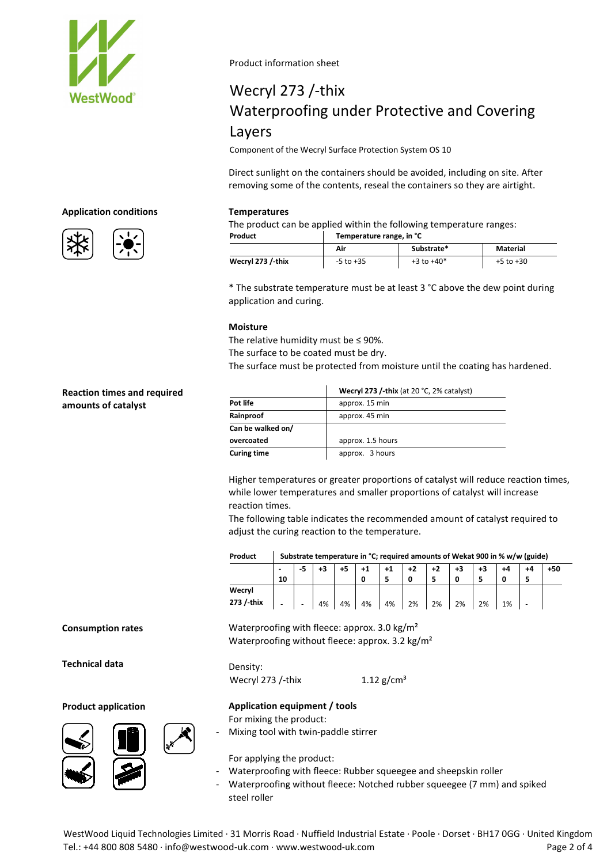

# Wecryl 273 /-thix Waterproofing under Protective and Covering Layers

Component of the Wecryl Surface Protection System OS 10

Direct sunlight on the containers should be avoided, including on site. After removing some of the contents, reseal the containers so they are airtight.

### **Application conditions Temperatures**

The product can be applied within the following temperature ranges:

|  | Temperature range, in °C |
|--|--------------------------|
|--|--------------------------|

| Product           | Temperature range, in °C |                |               |  |  |  |  |
|-------------------|--------------------------|----------------|---------------|--|--|--|--|
|                   | Air                      | Substrate*     | Material      |  |  |  |  |
| Wecryl 273 /-thix | $-5$ to $+35$            | $+3$ to $+40*$ | $+5$ to $+30$ |  |  |  |  |

\* The substrate temperature must be at least 3 °C above the dew point during application and curing.

### **Moisture**

The relative humidity must be ≤ 90%.

The surface to be coated must be dry.

The surface must be protected from moisture until the coating has hardened.

|                    | Wecryl 273 /-thix (at 20 $°C$ , 2% catalyst) |
|--------------------|----------------------------------------------|
| Pot life           | approx. 15 min                               |
| Rainproof          | approx. 45 min                               |
| Can be walked on/  |                                              |
| overcoated         | approx. 1.5 hours                            |
| <b>Curing time</b> | approx. 3 hours                              |

Higher temperatures or greater proportions of catalyst will reduce reaction times, while lower temperatures and smaller proportions of catalyst will increase reaction times.

The following table indicates the recommended amount of catalyst required to adjust the curing reaction to the temperature.

| Product | Substrate temperature in °C; required amounts of Wekat 900 in % w/w (guide) |
|---------|-----------------------------------------------------------------------------|
|---------|-----------------------------------------------------------------------------|

|            | $\overline{\phantom{a}}$ | -5 | +3 | +5 | $+1$ | $+1$ | +2 | $+2$ | $+3$ | +3 |    |                          | +50 |
|------------|--------------------------|----|----|----|------|------|----|------|------|----|----|--------------------------|-----|
|            | 10                       |    |    |    | 0    |      |    |      | 0    |    |    |                          |     |
| Wecryl     |                          |    |    |    |      |      |    |      |      |    |    |                          |     |
| 273 /-thix | $\overline{\phantom{0}}$ | -  | 4% | 4% | 4%   | 4%   | 2% | 2%   | 2%   | 2% | 1% | $\overline{\phantom{a}}$ |     |
|            |                          |    |    |    |      |      |    |      |      |    |    |                          |     |

**Consumption rates**

**Technical data**

#### **Product application Application equipment / tools**





Mixing tool with twin-paddle stirrer

For applying the product:

For mixing the product:

Density:

- Waterproofing with fleece: Rubber squeegee and sheepskin roller
- Waterproofing without fleece: Notched rubber squeegee (7 mm) and spiked steel roller

WestWood Liquid Technologies Limited · 31 Morris Road · Nuffield Industrial Estate · Poole · Dorset · BH17 0GG · United Kingdom Tel.: +44 800 808 5480 · info@westwood-uk.com · www.westwood-uk.com example are example as a page 2 of 4

Waterproofing with fleece: approx. 3.0 kg/m<sup>2</sup> Waterproofing without fleece: approx. 3.2 kg/m<sup>2</sup>

Wecryl 273 /-thix  $1.12$  g/cm<sup>3</sup>

**Reaction times and required** 

**amounts of catalyst**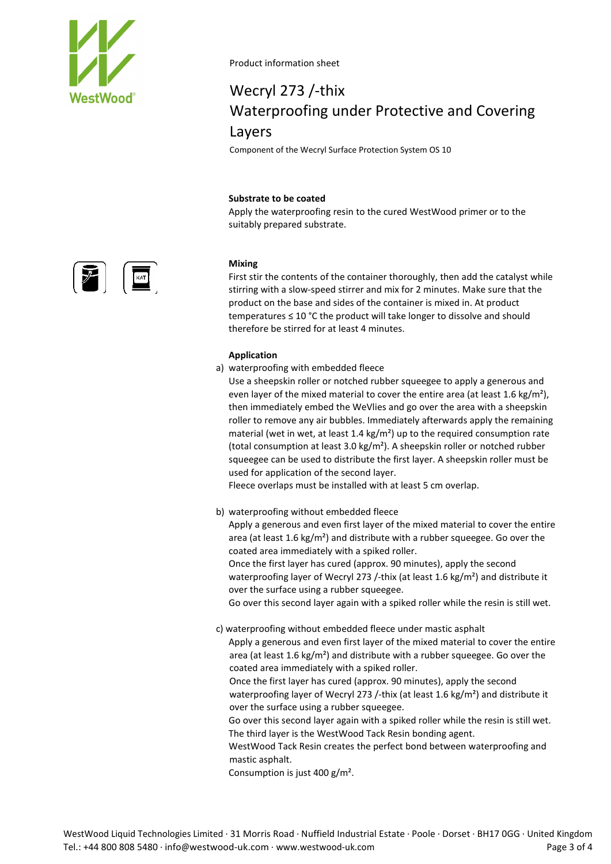

# Wecryl 273 /-thix Waterproofing under Protective and Covering Layers

Component of the Wecryl Surface Protection System OS 10

### **Substrate to be coated**

Apply the waterproofing resin to the cured WestWood primer or to the suitably prepared substrate.

### **Mixing**

First stir the contents of the container thoroughly, then add the catalyst while stirring with a slow-speed stirrer and mix for 2 minutes. Make sure that the product on the base and sides of the container is mixed in. At product temperatures ≤ 10 °C the product will take longer to dissolve and should therefore be stirred for at least 4 minutes.

### **Application**

a) waterproofing with embedded fleece

Use a sheepskin roller or notched rubber squeegee to apply a generous and even layer of the mixed material to cover the entire area (at least 1.6 kg/m<sup>2</sup>), then immediately embed the WeVlies and go over the area with a sheepskin roller to remove any air bubbles. Immediately afterwards apply the remaining material (wet in wet, at least 1.4 kg/m<sup>2</sup>) up to the required consumption rate (total consumption at least 3.0 kg/m<sup>2</sup>). A sheepskin roller or notched rubber squeegee can be used to distribute the first layer. A sheepskin roller must be used for application of the second layer.

Fleece overlaps must be installed with at least 5 cm overlap.

b) waterproofing without embedded fleece

Apply a generous and even first layer of the mixed material to cover the entire area (at least 1.6 kg/m²) and distribute with a rubber squeegee. Go over the coated area immediately with a spiked roller.

Once the first layer has cured (approx. 90 minutes), apply the second waterproofing layer of Wecryl 273 /-thix (at least 1.6 kg/m²) and distribute it over the surface using a rubber squeegee.

Go over this second layer again with a spiked roller while the resin is still wet.

c) waterproofing without embedded fleece under mastic asphalt Apply a generous and even first layer of the mixed material to cover the entire area (at least 1.6 kg/m²) and distribute with a rubber squeegee. Go over the coated area immediately with a spiked roller.

Once the first layer has cured (approx. 90 minutes), apply the second waterproofing layer of Wecryl 273 /-thix (at least 1.6 kg/m<sup>2</sup>) and distribute it over the surface using a rubber squeegee.

Go over this second layer again with a spiked roller while the resin is still wet. The third layer is the WestWood Tack Resin bonding agent.

WestWood Tack Resin creates the perfect bond between waterproofing and mastic asphalt.

Consumption is just 400 g/m².